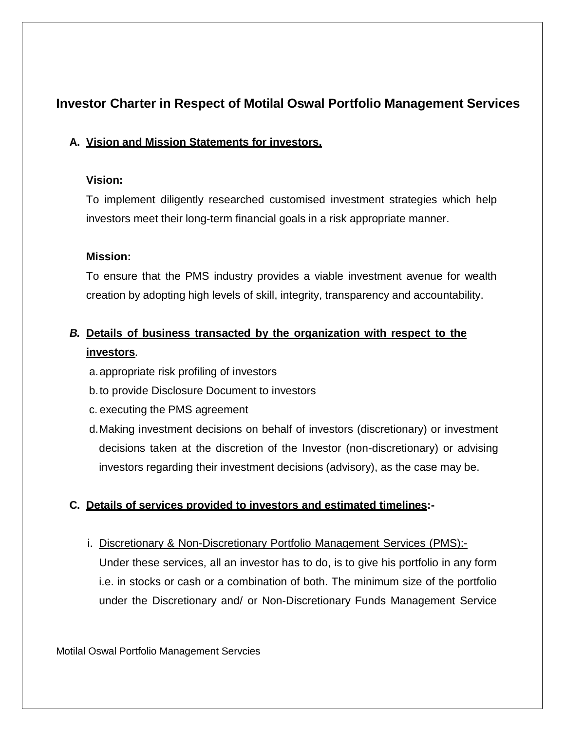# **Investor Charter in Respect of Motilal Oswal Portfolio Management Services**

## **A. Vision and Mission Statements for investors.**

## **Vision:**

To implement diligently researched customised investment strategies which help investors meet their long-term financial goals in a risk appropriate manner.

## **Mission:**

To ensure that the PMS industry provides a viable investment avenue for wealth creation by adopting high levels of skill, integrity, transparency and accountability.

## *B.* **Details of business transacted by the organization with respect to the investors***.*

- a.appropriate risk profiling of investors
- b.to provide Disclosure Document to investors
- c. executing the PMS agreement
- d.Making investment decisions on behalf of investors (discretionary) or investment decisions taken at the discretion of the Investor (non-discretionary) or advising investors regarding their investment decisions (advisory), as the case may be.

## **C. Details of services provided to investors and estimated timelines:-**

i. Discretionary & Non-Discretionary Portfolio Management Services (PMS):-

Under these services, all an investor has to do, is to give his portfolio in any form i.e. in stocks or cash or a combination of both. The minimum size of the portfolio under the Discretionary and/ or Non-Discretionary Funds Management Service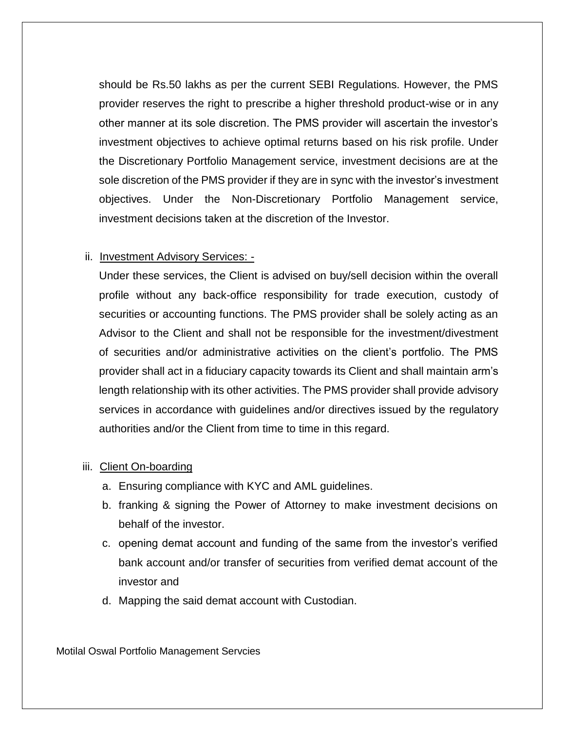should be Rs.50 lakhs as per the current SEBI Regulations. However, the PMS provider reserves the right to prescribe a higher threshold product-wise or in any other manner at its sole discretion. The PMS provider will ascertain the investor's investment objectives to achieve optimal returns based on his risk profile. Under the Discretionary Portfolio Management service, investment decisions are at the sole discretion of the PMS provider if they are in sync with the investor's investment objectives. Under the Non-Discretionary Portfolio Management service, investment decisions taken at the discretion of the Investor.

#### ii. Investment Advisory Services: -

Under these services, the Client is advised on buy/sell decision within the overall profile without any back-office responsibility for trade execution, custody of securities or accounting functions. The PMS provider shall be solely acting as an Advisor to the Client and shall not be responsible for the investment/divestment of securities and/or administrative activities on the client's portfolio. The PMS provider shall act in a fiduciary capacity towards its Client and shall maintain arm's length relationship with its other activities. The PMS provider shall provide advisory services in accordance with guidelines and/or directives issued by the regulatory authorities and/or the Client from time to time in this regard.

## iii. Client On-boarding

- a. Ensuring compliance with KYC and AML guidelines.
- b. franking & signing the Power of Attorney to make investment decisions on behalf of the investor.
- c. opening demat account and funding of the same from the investor's verified bank account and/or transfer of securities from verified demat account of the investor and
- d. Mapping the said demat account with Custodian.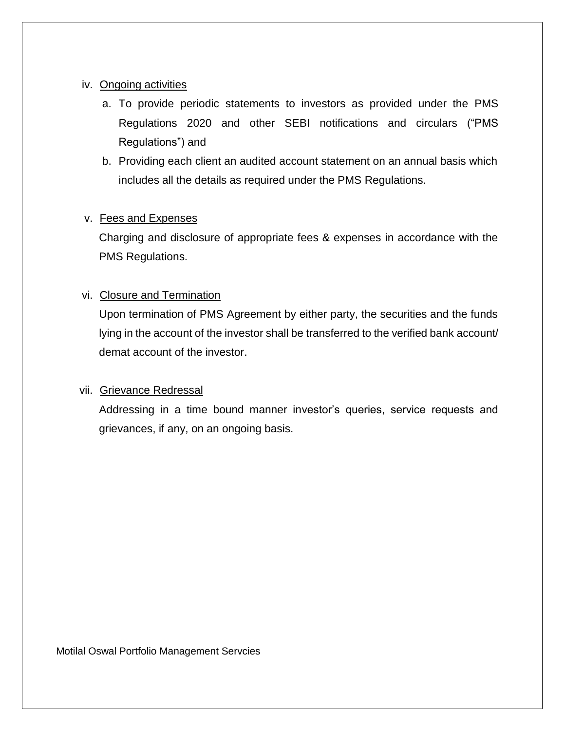#### iv. Ongoing activities

- a. To provide periodic statements to investors as provided under the PMS Regulations 2020 and other SEBI notifications and circulars ("PMS Regulations") and
- b. Providing each client an audited account statement on an annual basis which includes all the details as required under the PMS Regulations.

#### v. Fees and Expenses

Charging and disclosure of appropriate fees & expenses in accordance with the PMS Regulations.

#### vi. Closure and Termination

Upon termination of PMS Agreement by either party, the securities and the funds lying in the account of the investor shall be transferred to the verified bank account/ demat account of the investor.

## vii. Grievance Redressal

Addressing in a time bound manner investor's queries, service requests and grievances, if any, on an ongoing basis.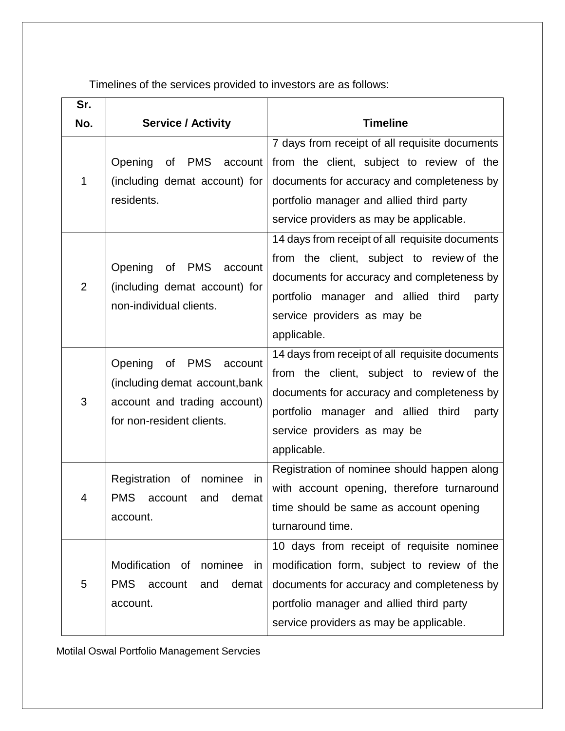Timelines of the services provided to investors are as follows:

| Sr.            |                                                                                                                                       |                                                                                                                                                                                                                                                                                     |
|----------------|---------------------------------------------------------------------------------------------------------------------------------------|-------------------------------------------------------------------------------------------------------------------------------------------------------------------------------------------------------------------------------------------------------------------------------------|
| No.            | <b>Service / Activity</b>                                                                                                             | <b>Timeline</b>                                                                                                                                                                                                                                                                     |
| 1              | of PMS<br>Opening<br>account<br>(including demat account) for<br>residents.                                                           | 7 days from receipt of all requisite documents<br>from the client, subject to review of the<br>documents for accuracy and completeness by<br>portfolio manager and allied third party<br>service providers as may be applicable.<br>14 days from receipt of all requisite documents |
| $\overline{2}$ | Opening<br><b>PMS</b><br>0f<br>account<br>(including demat account) for<br>non-individual clients.                                    | from the client, subject to review of the<br>documents for accuracy and completeness by<br>portfolio manager and allied third<br>party<br>service providers as may be<br>applicable.                                                                                                |
| 3              | Opening<br><b>PMS</b><br>οf<br>account<br>(including demat account, bank<br>account and trading account)<br>for non-resident clients. | 14 days from receipt of all requisite documents<br>from the client, subject to review of the<br>documents for accuracy and completeness by<br>portfolio manager and allied third<br>party<br>service providers as may be<br>applicable.                                             |
| 4              | Registration of<br>nominee<br>-in<br><b>PMS</b><br>demat<br>account<br>and<br>account.                                                | Registration of nominee should happen along<br>with account opening, therefore turnaround<br>time should be same as account opening<br>turnaround time.                                                                                                                             |
| 5              | Modification of<br>nominee<br>in<br><b>PMS</b><br>demat<br>account<br>and<br>account.                                                 | 10 days from receipt of requisite nominee<br>modification form, subject to review of the<br>documents for accuracy and completeness by<br>portfolio manager and allied third party<br>service providers as may be applicable.                                                       |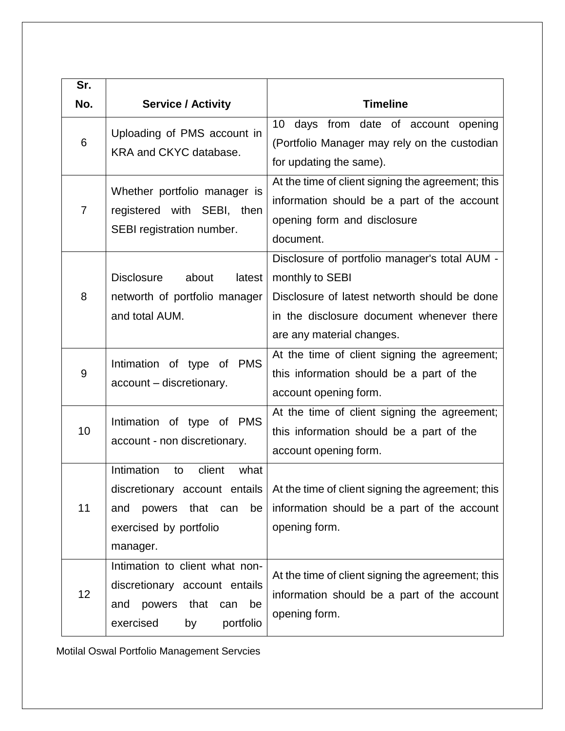| Sr. |                                                                                                                                    |                                                                                                                                                                                            |
|-----|------------------------------------------------------------------------------------------------------------------------------------|--------------------------------------------------------------------------------------------------------------------------------------------------------------------------------------------|
| No. | <b>Service / Activity</b>                                                                                                          | <b>Timeline</b>                                                                                                                                                                            |
| 6   | Uploading of PMS account in<br>KRA and CKYC database.                                                                              | 10 days from date of account opening<br>(Portfolio Manager may rely on the custodian<br>for updating the same).                                                                            |
| 7   | Whether portfolio manager is<br>registered with SEBI, then<br>SEBI registration number.                                            | At the time of client signing the agreement; this<br>information should be a part of the account<br>opening form and disclosure<br>document.                                               |
| 8   | <b>Disclosure</b><br>about<br>latest<br>networth of portfolio manager<br>and total AUM.                                            | Disclosure of portfolio manager's total AUM -<br>monthly to SEBI<br>Disclosure of latest networth should be done<br>in the disclosure document whenever there<br>are any material changes. |
| 9   | Intimation of type of PMS<br>account - discretionary.                                                                              | At the time of client signing the agreement;<br>this information should be a part of the<br>account opening form.                                                                          |
| 10  | Intimation of type of PMS<br>account - non discretionary.                                                                          | At the time of client signing the agreement;<br>this information should be a part of the<br>account opening form.                                                                          |
| 11  | Intimation<br>client<br>what<br>to<br>powers<br>that<br>be<br>and<br>can<br>exercised by portfolio<br>manager.                     | discretionary account entails   At the time of client signing the agreement; this<br>information should be a part of the account<br>opening form.                                          |
| 12  | Intimation to client what non-<br>discretionary account entails<br>powers that<br>and<br>can<br>be<br>exercised<br>portfolio<br>by | At the time of client signing the agreement; this<br>information should be a part of the account<br>opening form.                                                                          |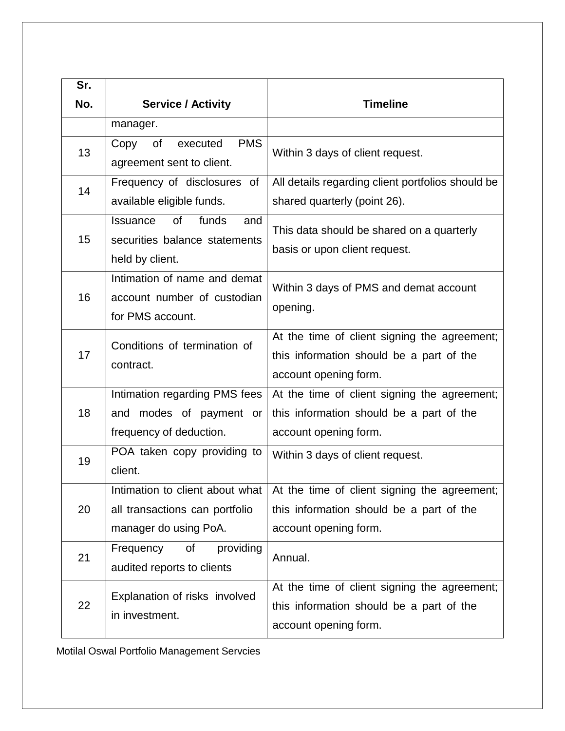| Sr. |                                                                                                  |                                                                                                                                                     |
|-----|--------------------------------------------------------------------------------------------------|-----------------------------------------------------------------------------------------------------------------------------------------------------|
| No. | <b>Service / Activity</b>                                                                        | <b>Timeline</b>                                                                                                                                     |
|     | manager.                                                                                         |                                                                                                                                                     |
| 13  | <b>PMS</b><br>Copy<br>0f<br>executed<br>agreement sent to client.                                | Within 3 days of client request.                                                                                                                    |
| 14  | Frequency of disclosures<br>0f<br>available eligible funds.                                      | All details regarding client portfolios should be<br>shared quarterly (point 26).                                                                   |
| 15  | <b>of</b><br>funds<br><b>Issuance</b><br>and<br>securities balance statements<br>held by client. | This data should be shared on a quarterly<br>basis or upon client request.                                                                          |
| 16  | Intimation of name and demat<br>account number of custodian<br>for PMS account.                  | Within 3 days of PMS and demat account<br>opening.                                                                                                  |
| 17  | Conditions of termination of<br>contract.                                                        | At the time of client signing the agreement;<br>this information should be a part of the<br>account opening form.                                   |
| 18  | Intimation regarding PMS fees<br>and modes of payment or<br>frequency of deduction.              | At the time of client signing the agreement;<br>this information should be a part of the<br>account opening form.                                   |
| 19  | POA taken copy providing to<br>client.                                                           | Within 3 days of client request.                                                                                                                    |
| 20  | all transactions can portfolio<br>manager do using PoA.                                          | Intimation to client about what   At the time of client signing the agreement;<br>this information should be a part of the<br>account opening form. |
| 21  | Frequency<br>providing<br>οf<br>audited reports to clients                                       | Annual.                                                                                                                                             |
| 22  | Explanation of risks involved<br>in investment.                                                  | At the time of client signing the agreement;<br>this information should be a part of the<br>account opening form.                                   |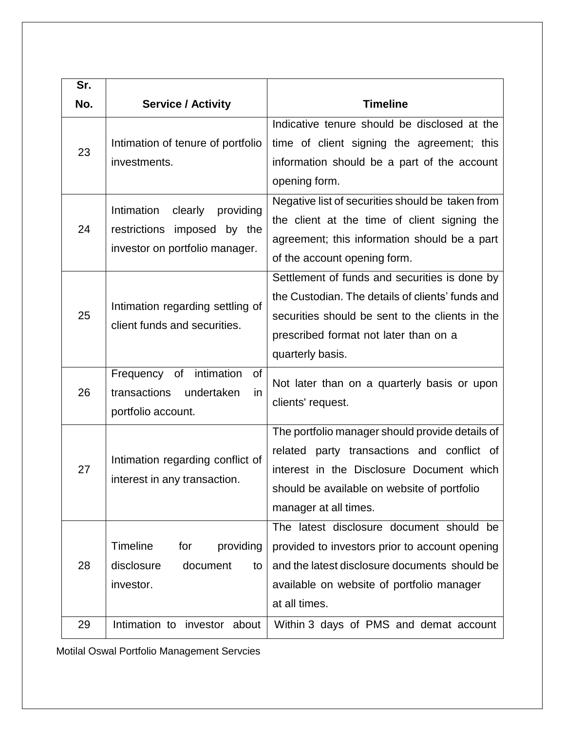| Sr. |                                                                                                        |                                                                                                                                                                                                                    |
|-----|--------------------------------------------------------------------------------------------------------|--------------------------------------------------------------------------------------------------------------------------------------------------------------------------------------------------------------------|
| No. | <b>Service / Activity</b>                                                                              | <b>Timeline</b>                                                                                                                                                                                                    |
| 23  | Intimation of tenure of portfolio<br>investments.                                                      | Indicative tenure should be disclosed at the<br>time of client signing the agreement; this<br>information should be a part of the account<br>opening form.                                                         |
| 24  | Intimation<br>clearly<br>providing<br>restrictions<br>imposed by the<br>investor on portfolio manager. | Negative list of securities should be taken from<br>the client at the time of client signing the<br>agreement; this information should be a part<br>of the account opening form.                                   |
| 25  | Intimation regarding settling of<br>client funds and securities.                                       | Settlement of funds and securities is done by<br>the Custodian. The details of clients' funds and<br>securities should be sent to the clients in the<br>prescribed format not later than on a<br>quarterly basis.  |
| 26  | of intimation<br>Frequency<br>0f<br>transactions<br>undertaken<br>in<br>portfolio account.             | Not later than on a quarterly basis or upon<br>clients' request.                                                                                                                                                   |
| 27  | Intimation regarding conflict of<br>interest in any transaction.                                       | The portfolio manager should provide details of<br>related party transactions and conflict of<br>interest in the Disclosure Document which<br>should be available on website of portfolio<br>manager at all times. |
| 28  | <b>Timeline</b><br>for<br>providing<br>disclosure<br>document<br>to<br>investor.                       | The latest disclosure document should be<br>provided to investors prior to account opening<br>and the latest disclosure documents should be<br>available on website of portfolio manager<br>at all times.          |
| 29  | Intimation to investor about                                                                           | Within 3 days of PMS and demat account                                                                                                                                                                             |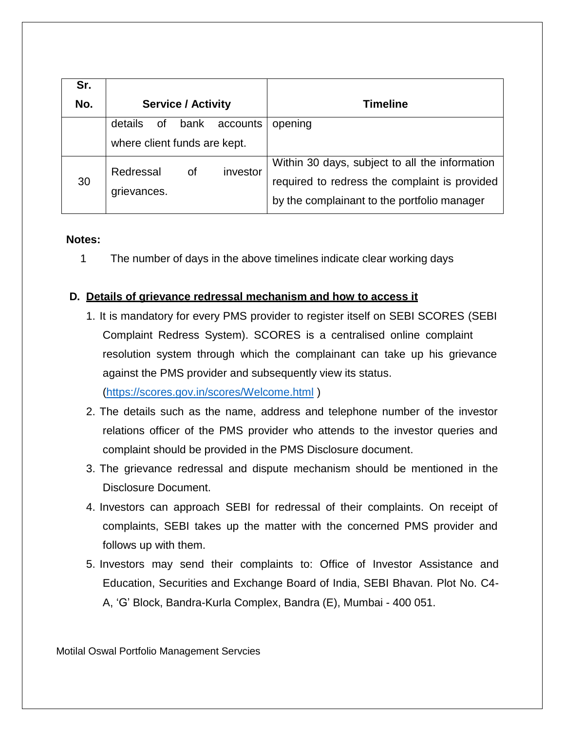| Sr. |                              |                  |                                                |
|-----|------------------------------|------------------|------------------------------------------------|
| No. | <b>Service / Activity</b>    |                  | <b>Timeline</b>                                |
|     | details<br>0f                | bank<br>accounts | opening                                        |
|     | where client funds are kept. |                  |                                                |
| 30  | Redressal                    | investor<br>0f   | Within 30 days, subject to all the information |
|     |                              |                  | required to redress the complaint is provided  |
|     | grievances.                  |                  | by the complainant to the portfolio manager    |

#### **Notes:**

1 The number of days in the above timelines indicate clear working days

## **D. Details of grievance redressal mechanism and how to access it**

1. It is mandatory for every PMS provider to register itself on SEBI SCORES (SEBI Complaint Redress System). SCORES is a centralised online complaint resolution system through which the complainant can take up his grievance against the PMS provider and subsequently view its status.

[\(https://scores.gov.in/scores/Welcome.html](https://scores.gov.in/scores/Welcome.html) )

- 2. The details such as the name, address and telephone number of the investor relations officer of the PMS provider who attends to the investor queries and complaint should be provided in the PMS Disclosure document.
- 3. The grievance redressal and dispute mechanism should be mentioned in the Disclosure Document.
- 4. Investors can approach SEBI for redressal of their complaints. On receipt of complaints, SEBI takes up the matter with the concerned PMS provider and follows up with them.
- 5. Investors may send their complaints to: Office of Investor Assistance and Education, Securities and Exchange Board of India, SEBI Bhavan. Plot No. C4- A, 'G' Block, Bandra-Kurla Complex, Bandra (E), Mumbai - 400 051.